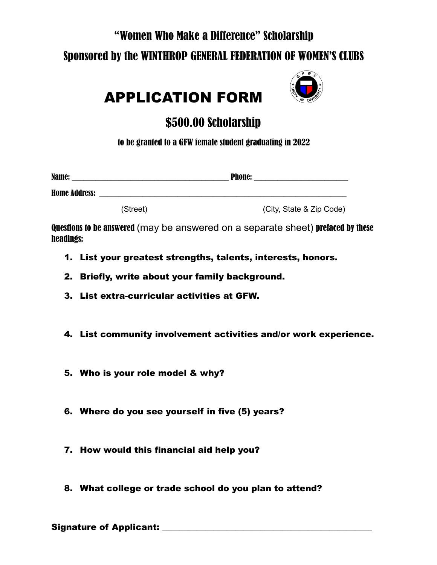#### "Women Who Make a Difference" Scholarship

### Sponsored by the WINTHROP GENERAL FEDERATION OF WOMEN'S CLUBS



# APPLICATION FORM

## \$500.00 Scholarship

to be granted to a GFW female student graduating in 2022

| Name:                |          | <b>Phone:</b>            |  |
|----------------------|----------|--------------------------|--|
| <b>Home Address:</b> |          |                          |  |
|                      | (Street) | (City, State & Zip Code) |  |

Questions to be answered (may be answered on a separate sheet) prefaced by these headings:

- 1. List your greatest strengths, talents, interests, honors.
- 2. Briefly, write about your family background.
- 3. List extra-curricular activities at GFW.
- 4. List community involvement activities and/or work experience.
- 5. Who is your role model & why?
- 6. Where do you see yourself in five (5) years?
- 7. How would this financial aid help you?
- 8. What college or trade school do you plan to attend?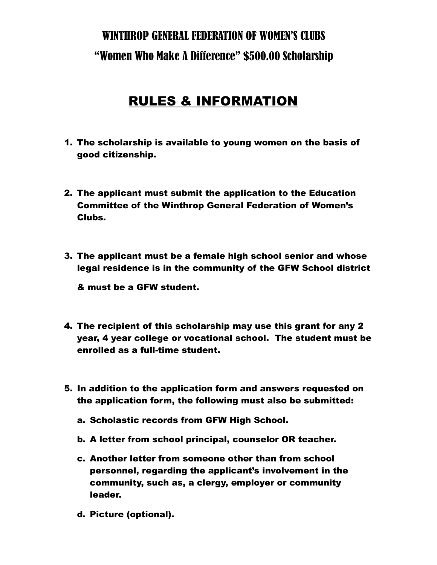## WINTHROP GENERAL FEDERATION OF WOMEN'S CLUBS "Women Who Make A Difference" \$500.00 Scholarship

### RULES & INFORMATION

- 1. The scholarship is available to young women on the basis of good citizenship.
- 2. The applicant must submit the application to the Education Committee of the Winthrop General Federation of Women's Clubs.
- 3. The applicant must be a female high school senior and whose legal residence is in the community of the GFW School district

& must be a GFW student.

- 4. The recipient of this scholarship may use this grant for any 2 year, 4 year college or vocational school. The student must be enrolled as a full-time student.
- 5. In addition to the application form and answers requested on the application form, the following must also be submitted:
	- a. Scholastic records from GFW High School.
	- b. A letter from school principal, counselor OR teacher.
	- c. Another letter from someone other than from school personnel, regarding the applicant's involvement in the community, such as, a clergy, employer or community leader.
	- d. Picture (optional).